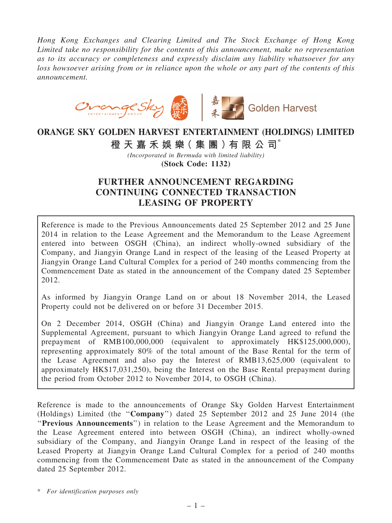*Hong Kong Exchanges and Clearing Limited and The Stock Exchange of Hong Kong Limited take no responsibility for the contents of this announcement, make no representation as to its accuracy or completeness and expressly disclaim any liability whatsoever for any loss howsoever arising from or in reliance upon the whole or any part of the contents of this announcement.*



# ORANGE SKY GOLDEN HARVEST ENTERTAINMENT (HOLDINGS) LIMITED

橙 天 嘉 禾 娛 樂 (集 團 ) 有 限 公 司 $^*$ 

*(Incorporated in Bermuda with limited liability)* (Stock Code: 1132)

## FURTHER ANNOUNCEMENT REGARDING CONTINUING CONNECTED TRANSACTION LEASING OF PROPERTY

Reference is made to the Previous Announcements dated 25 September 2012 and 25 June 2014 in relation to the Lease Agreement and the Memorandum to the Lease Agreement entered into between OSGH (China), an indirect wholly-owned subsidiary of the Company, and Jiangyin Orange Land in respect of the leasing of the Leased Property at Jiangyin Orange Land Cultural Complex for a period of 240 months commencing from the Commencement Date as stated in the announcement of the Company dated 25 September 2012.

As informed by Jiangyin Orange Land on or about 18 November 2014, the Leased Property could not be delivered on or before 31 December 2015.

On 2 December 2014, OSGH (China) and Jiangyin Orange Land entered into the Supplemental Agreement, pursuant to which Jiangyin Orange Land agreed to refund the prepayment of RMB100,000,000 (equivalent to approximately HK\$125,000,000), representing approximately 80% of the total amount of the Base Rental for the term of the Lease Agreement and also pay the Interest of RMB13,625,000 (equivalent to approximately HK\$17,031,250), being the Interest on the Base Rental prepayment during the period from October 2012 to November 2014, to OSGH (China).

Reference is made to the announcements of Orange Sky Golden Harvest Entertainment (Holdings) Limited (the ''Company'') dated 25 September 2012 and 25 June 2014 (the ''Previous Announcements'') in relation to the Lease Agreement and the Memorandum to the Lease Agreement entered into between OSGH (China), an indirect wholly-owned subsidiary of the Company, and Jiangyin Orange Land in respect of the leasing of the Leased Property at Jiangyin Orange Land Cultural Complex for a period of 240 months commencing from the Commencement Date as stated in the announcement of the Company dated 25 September 2012.

\* *For identification purposes only*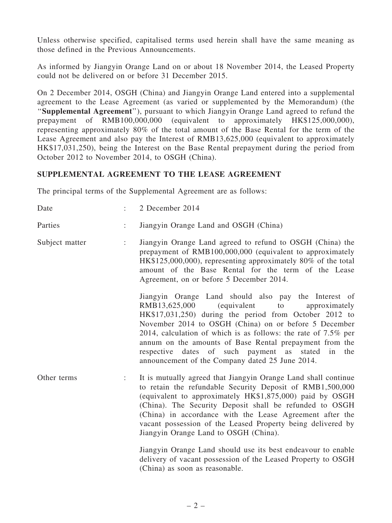Unless otherwise specified, capitalised terms used herein shall have the same meaning as those defined in the Previous Announcements.

As informed by Jiangyin Orange Land on or about 18 November 2014, the Leased Property could not be delivered on or before 31 December 2015.

On 2 December 2014, OSGH (China) and Jiangyin Orange Land entered into a supplemental agreement to the Lease Agreement (as varied or supplemented by the Memorandum) (the "Supplemental Agreement"), pursuant to which Jiangyin Orange Land agreed to refund the prepayment of RMB100,000,000 (equivalent to approximately HK\$125,000,000), representing approximately 80% of the total amount of the Base Rental for the term of the Lease Agreement and also pay the Interest of RMB13,625,000 (equivalent to approximately HK\$17,031,250), being the Interest on the Base Rental prepayment during the period from October 2012 to November 2014, to OSGH (China).

### SUPPLEMENTAL AGREEMENT TO THE LEASE AGREEMENT

The principal terms of the Supplemental Agreement are as follows:

| Date           |                | 2 December 2014                                                                                                                                                                                                                                                                                                                                                                                                                                                                        |
|----------------|----------------|----------------------------------------------------------------------------------------------------------------------------------------------------------------------------------------------------------------------------------------------------------------------------------------------------------------------------------------------------------------------------------------------------------------------------------------------------------------------------------------|
| Parties        | $\ddot{\cdot}$ | Jiangyin Orange Land and OSGH (China)                                                                                                                                                                                                                                                                                                                                                                                                                                                  |
| Subject matter |                | Jiangyin Orange Land agreed to refund to OSGH (China) the<br>prepayment of RMB100,000,000 (equivalent to approximately<br>HK\$125,000,000), representing approximately 80% of the total<br>amount of the Base Rental for the term of the Lease<br>Agreement, on or before 5 December 2014.                                                                                                                                                                                             |
|                |                | Jiangyin Orange Land should also pay the Interest of<br>RMB13,625,000<br><i>(equivalent</i> )<br>to<br>approximately<br>HK\$17,031,250) during the period from October 2012 to<br>November 2014 to OSGH (China) on or before 5 December<br>2014, calculation of which is as follows: the rate of $7.5\%$ per<br>annum on the amounts of Base Rental prepayment from the<br>respective dates of such payment as<br>stated<br>in the<br>announcement of the Company dated 25 June 2014.  |
| Other terms    |                | It is mutually agreed that Jiangyin Orange Land shall continue<br>to retain the refundable Security Deposit of RMB1,500,000<br>(equivalent to approximately HK\$1,875,000) paid by OSGH<br>(China). The Security Deposit shall be refunded to OSGH<br>(China) in accordance with the Lease Agreement after the<br>vacant possession of the Leased Property being delivered by<br>Jiangyin Orange Land to OSGH (China).<br>Jiangyin Orange Land should use its best endeavour to enable |
|                |                | delivery of vacant possession of the Leased Property to OSGH<br>(China) as soon as reasonable.                                                                                                                                                                                                                                                                                                                                                                                         |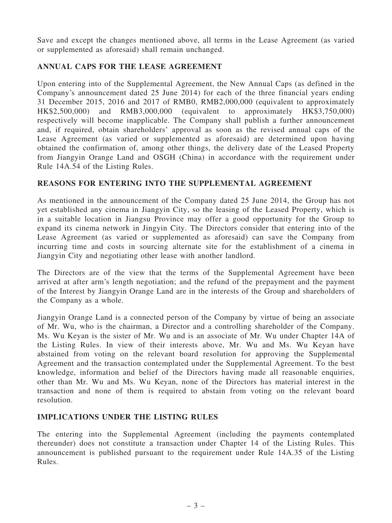Save and except the changes mentioned above, all terms in the Lease Agreement (as varied or supplemented as aforesaid) shall remain unchanged.

## ANNUAL CAPS FOR THE LEASE AGREEMENT

Upon entering into of the Supplemental Agreement, the New Annual Caps (as defined in the Company's announcement dated 25 June 2014) for each of the three financial years ending 31 December 2015, 2016 and 2017 of RMB0, RMB2,000,000 (equivalent to approximately HK\$2,500,000) and RMB3,000,000 (equivalent to approximately HK\$3,750,000) respectively will become inapplicable. The Company shall publish a further announcement and, if required, obtain shareholders' approval as soon as the revised annual caps of the Lease Agreement (as varied or supplemented as aforesaid) are determined upon having obtained the confirmation of, among other things, the delivery date of the Leased Property from Jiangyin Orange Land and OSGH (China) in accordance with the requirement under Rule 14A.54 of the Listing Rules.

## REASONS FOR ENTERING INTO THE SUPPLEMENTAL AGREEMENT

As mentioned in the announcement of the Company dated 25 June 2014, the Group has not yet established any cinema in Jiangyin City, so the leasing of the Leased Property, which is in a suitable location in Jiangsu Province may offer a good opportunity for the Group to expand its cinema network in Jingyin City. The Directors consider that entering into of the Lease Agreement (as varied or supplemented as aforesaid) can save the Company from incurring time and costs in sourcing alternate site for the establishment of a cinema in Jiangyin City and negotiating other lease with another landlord.

The Directors are of the view that the terms of the Supplemental Agreement have been arrived at after arm's length negotiation; and the refund of the prepayment and the payment of the Interest by Jiangyin Orange Land are in the interests of the Group and shareholders of the Company as a whole.

Jiangyin Orange Land is a connected person of the Company by virtue of being an associate of Mr. Wu, who is the chairman, a Director and a controlling shareholder of the Company. Ms. Wu Keyan is the sister of Mr. Wu and is an associate of Mr. Wu under Chapter 14A of the Listing Rules. In view of their interests above, Mr. Wu and Ms. Wu Keyan have abstained from voting on the relevant board resolution for approving the Supplemental Agreement and the transaction contemplated under the Supplemental Agreement. To the best knowledge, information and belief of the Directors having made all reasonable enquiries, other than Mr. Wu and Ms. Wu Keyan, none of the Directors has material interest in the transaction and none of them is required to abstain from voting on the relevant board resolution.

## IMPLICATIONS UNDER THE LISTING RULES

The entering into the Supplemental Agreement (including the payments contemplated thereunder) does not constitute a transaction under Chapter 14 of the Listing Rules. This announcement is published pursuant to the requirement under Rule 14A.35 of the Listing Rules.